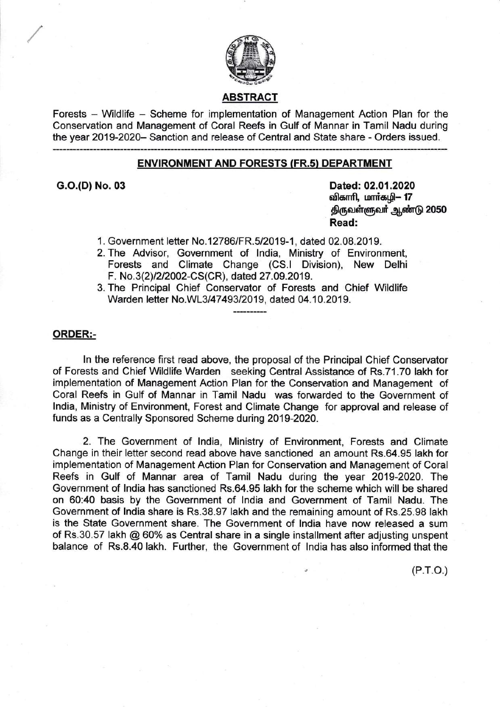

## ABSTRACT

Forests - Wildlife - Scheme for implementation of Management Action Plan for the Conservation and Management of Coral Reefs in Gulf of Mannar in Tamil Nadu during the year 2019-2020- Sanction and release of Central and State share - Orders issued.

### ENVIRONMENT AND FORESTS (FR.s) DEPARTMENT

G.O.(D) No. 03 Dated: 02.01 .2020 விகாரி, மார்கழி– 17 திருவள்ளுவர் ஆண்டு 2050 Read:

1. Government letter No.12786/FR.5/2019-1, dated 02.08.2019.

- 2. The Advisor, Government of lndia, Ministry of Environment, Forests and Climate Change (CS.l Division), New Delhi F. No.3(2) 1212002-CS(CR), dated 27 .09.2019.
- 3. The Principal Chief Conservator of Forests and Chief Wildlife Warden letter No.WL3/47493/2019, dated 04.10.2019.

### ORDER:-

ln the reference first read above, the proposal of the Principal Chief Conservator of Forests and Chief Wildlife Warden seeking Central Assistance of Rs.71.70 lakh for implementation of Management Action Plan for the Conservation and Management of Coral Reefs in Gulf of Mannar in Tamil Nadu was forwarded to the Government of lndia, Ministry of Environment, Forest and Climate Change for approval and release of funds as a Centrally Sponsored Scheme during 2019-2020.

2. The Government of lndia, Ministry of Environment, Forests and Climate Change in their letter second read above have sanctioned an amount Rs.64.95 lakh for implementation of Management Action Plan for Conservation and Management of Coral Reefs in Gulf of Mannar area of Tamil Nadu during the year 2019-2020. The Government of lndia has sanctioned Rs.64.95 lakh for the scheme which will be shared on 60:40 basis by the Government of lndia and Government of Tamil Nadu. The Government of India share is Rs.38.97 lakh and the remaining amount of Rs.25.98 lakh is the State Government share. The Government of lndia have now released a sum of Rs.30.57 lakh @ 60% as Central share in a single installment after adjusting unspent balance of Rs.8.40 lakh. Further, the Government of lndia has also informed that the

 $(P.T.O.)$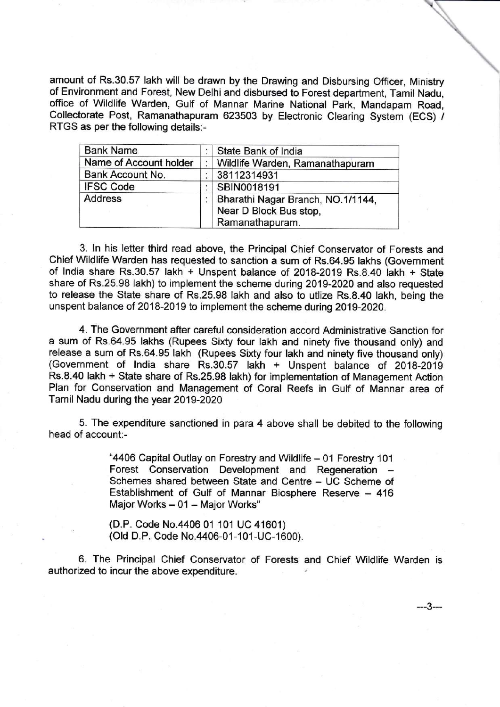amount of Rs.30.57 lakh will be drawn by the Drawing and Disbursing Officer, Ministry of Environment and Forest, New Delhi and disbursed to Forest department, Tamil Nadu, office of Wildlife Warden, Gulf of Mannar Marine National Park, Mandapam Road, Collectorate Post, Ramanathapuram 623503 by Electronic Clearing System (ECS) / RTGS as per the following details:-

| <b>Bank Name</b>       | State Bank of India                                                            |
|------------------------|--------------------------------------------------------------------------------|
| Name of Account holder | Wildlife Warden, Ramanathapuram                                                |
| Bank Account No.       | 38112314931                                                                    |
| <b>IFSC Code</b>       | SBIN0018191                                                                    |
| <b>Address</b>         | Bharathi Nagar Branch, NO.1/1144,<br>Near D Block Bus stop,<br>Ramanathapuram. |

3. ln his letter third read above, the Principal Chief Conservator of Forests and Chief Wildlife Warden has requested to sanction a sum of Rs.64.95 lakhs (Government of lndia share Rs.30.57 lakh + Unspent balance of 2018-2019 Rs.8.40 lakh + State share of Rs.25.98 lakh) to implement the scheme during 2019-2020 and also requested to release the State share of Rs.25.98 lakh and also to utlize Rs.8.40 lakh, being the unspent balance of 2018-2019 to implement the scheme during 2019-2020.

4. The Government after careful consideration accord Administrative Sanction for a sum of Rs.64.95 lakhs (Rupees Sixty four lakh and ninety five thousand only) and release a sum of Rs.64.95 lakh (Rupees Sixty four lakh and ninety five thousand only) (Government of lndia share Rs.30.57 lakh + Unspent balance of 201A-2019 Rs.8.40 lakh + State share of Rs.25.98 lakh) for implementation of Management Action Plan for Conservation and Management of Coral Reefs in Gulf of Mannar area of Tamil Nadu during the year 2019-2020

5. The expenditure sanctioned in para 4 above shall be debited to the following head of account:-

> "4406 Capital Outlay on Forestry and Wildlife - 01 Forestry 101 Forest Conservation Development and Regeneration Schemes shared between State and Centre - UC Scheme of Establishment of Gulf of Mannar Biosphere Reserve - 416 Major Works - 01 - Major Works"

(D.P. Code No.4406 01 101 UC 41601) (Old D.P. Code No.4406-01-101-UC-1600).

6. The Principal Chief Conservator of Forests and Chief Wildlife Warden is authorized to incur the above expenditure.

---3---